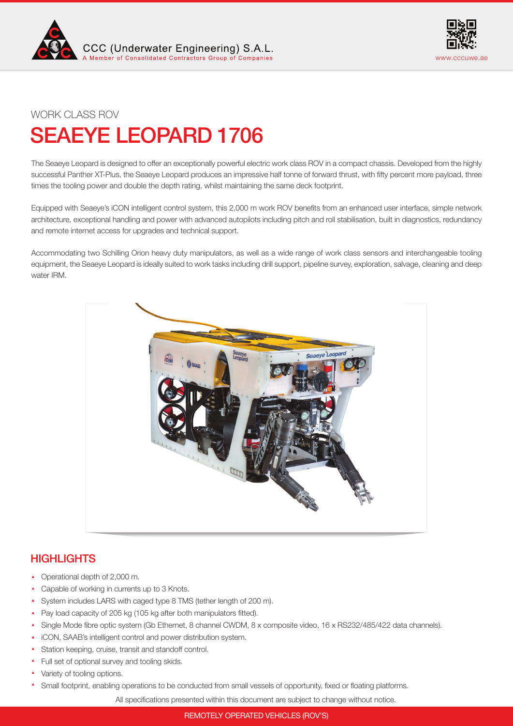



## WORK CLASS ROV

# SEAEYE LEOPARD 1706

The Seaeye Leopard is designed to offer an exceptionally powerful electric work class ROV in a compact chassis. Developed from the highly successful Panther XT-Plus, the Seaeye Leopard produces an impressive half tonne of forward thrust, with fifty percent more payload, three times the tooling power and double the depth rating, whilst maintaining the same deck footprint.

Equipped with Seaeye's iCON intelligent control system, this 2,000 m work ROV benefits from an enhanced user interface, simple network architecture, exceptional handling and power with advanced autopilots including pitch and roll stabilisation, built in diagnostics, redundancy and remote internet access for upgrades and technical support.

Accommodating two Schilling Orion heavy duty manipulators, as well as a wide range of work class sensors and interchangeable tooling equipment, the Seaeye Leopard is ideally suited to work tasks including drill support, pipeline survey, exploration, salvage, cleaning and deep water IRM.



# **HIGHLIGHTS**

- ▲ Operational depth of 2,000 m.
- Capable of working in currents up to 3 Knots.
- System includes LARS with caged type 8 TMS (tether length of 200 m).
- ▲ Pay load capacity of 205 kg (105 kg after both manipulators fitted).
- Single Mode fibre optic system (Gb Ethernet, 8 channel CWDM, 8 x composite video, 16 x RS232/485/422 data channels).
- iCON, SAAB's intelligent control and power distribution system.
- Station keeping, cruise, transit and standoff control.
- Full set of optional survey and tooling skids.
- Variety of tooling options.
- Small footprint, enabling operations to be conducted from small vessels of opportunity, fixed or floating platforms.

All specifications presented within this document are subject to change without notice.